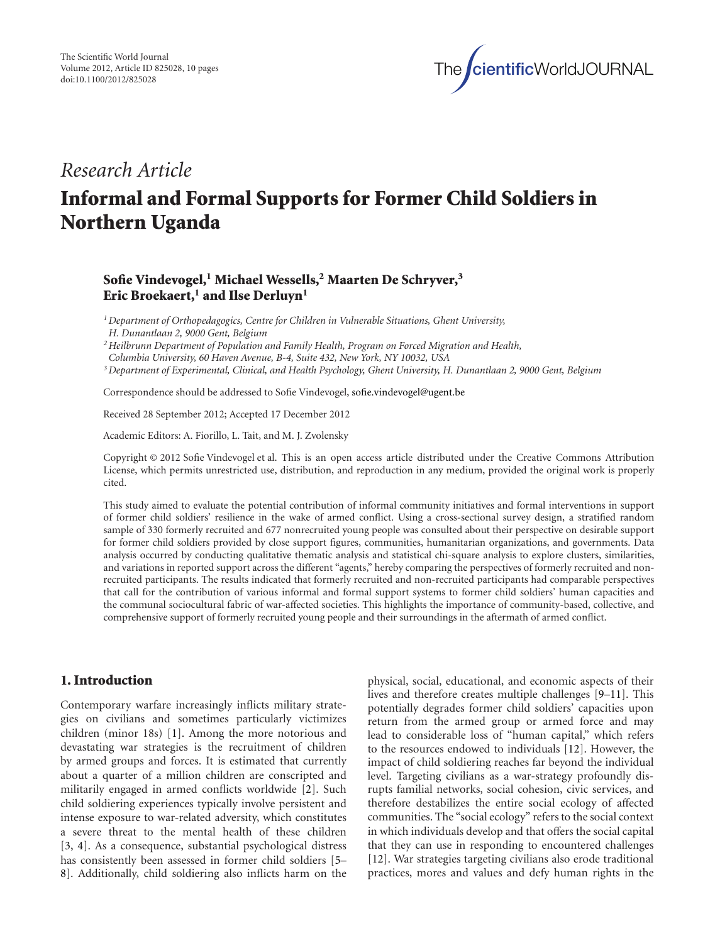

# *Research Article*

# **Informal and Formal Supports for Former Child Soldiers in Northern Uganda**

## **Sofie Vindevogel,1 Michael Wessells,2 Maarten De Schryver,3** Eric Broekaert,<sup>1</sup> and Ilse Derluyn<sup>1</sup>

*1Department of Orthopedagogics, Centre for Children in Vulnerable Situations, Ghent University,*

*H. Dunantlaan 2, 9000 Gent, Belgium*

*2Heilbrunn Department of Population and Family Health, Program on Forced Migration and Health,*

*Columbia University, 60 Haven Avenue, B-4, Suite 432, New York, NY 10032, USA*

*3Department of Experimental, Clinical, and Health Psychology, Ghent University, H. Dunantlaan 2, 9000 Gent, Belgium*

Correspondence should be addressed to Sofie Vindevogel, sofie.vindevogel@ugent.be

Received 28 September 2012; Accepted 17 December 2012

Academic Editors: A. Fiorillo, L. Tait, and M. J. Zvolensky

Copyright © 2012 Sofie Vindevogel et al. This is an open access article distributed under the Creative Commons Attribution License, which permits unrestricted use, distribution, and reproduction in any medium, provided the original work is properly cited.

This study aimed to evaluate the potential contribution of informal community initiatives and formal interventions in support of former child soldiers' resilience in the wake of armed conflict. Using a cross-sectional survey design, a stratified random sample of 330 formerly recruited and 677 nonrecruited young people was consulted about their perspective on desirable support for former child soldiers provided by close support figures, communities, humanitarian organizations, and governments. Data analysis occurred by conducting qualitative thematic analysis and statistical chi-square analysis to explore clusters, similarities, and variations in reported support across the different "agents," hereby comparing the perspectives of formerly recruited and nonrecruited participants. The results indicated that formerly recruited and non-recruited participants had comparable perspectives that call for the contribution of various informal and formal support systems to former child soldiers' human capacities and the communal sociocultural fabric of war-affected societies. This highlights the importance of community-based, collective, and comprehensive support of formerly recruited young people and their surroundings in the aftermath of armed conflict.

## **1. Introduction**

Contemporary warfare increasingly inflicts military strategies on civilians and sometimes particularly victimizes children (minor 18s) [1]. Among the more notorious and devastating war strategies is the recruitment of children by armed groups and forces. It is estimated that currently about a quarter of a million children are conscripted and militarily engaged in armed conflicts worldwide [2]. Such child soldiering experiences typically involve persistent and intense exposure to war-related adversity, which constitutes a severe threat to the mental health of these children [3, 4]. As a consequence, substantial psychological distress has consistently been assessed in former child soldiers [5– 8]. Additionally, child soldiering also inflicts harm on the

physical, social, educational, and economic aspects of their lives and therefore creates multiple challenges [9–11]. This potentially degrades former child soldiers' capacities upon return from the armed group or armed force and may lead to considerable loss of "human capital," which refers to the resources endowed to individuals [12]. However, the impact of child soldiering reaches far beyond the individual level. Targeting civilians as a war-strategy profoundly disrupts familial networks, social cohesion, civic services, and therefore destabilizes the entire social ecology of affected communities. The "social ecology" refers to the social context in which individuals develop and that offers the social capital that they can use in responding to encountered challenges [12]. War strategies targeting civilians also erode traditional practices, mores and values and defy human rights in the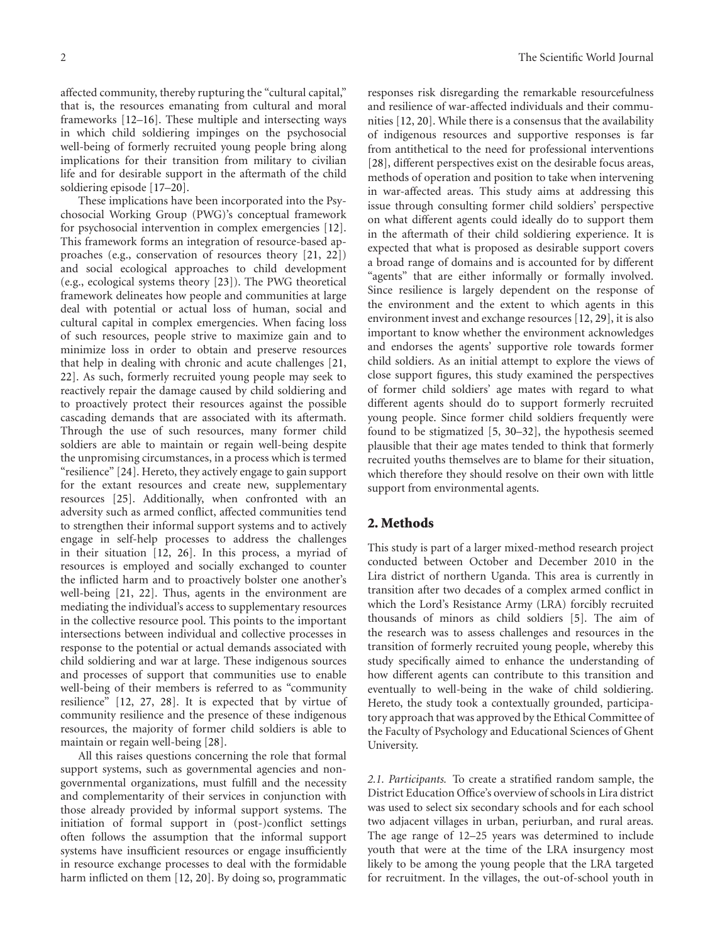affected community, thereby rupturing the "cultural capital," that is, the resources emanating from cultural and moral frameworks [12–16]. These multiple and intersecting ways in which child soldiering impinges on the psychosocial well-being of formerly recruited young people bring along implications for their transition from military to civilian life and for desirable support in the aftermath of the child soldiering episode [17–20].

These implications have been incorporated into the Psychosocial Working Group (PWG)'s conceptual framework for psychosocial intervention in complex emergencies [12]. This framework forms an integration of resource-based approaches (e.g., conservation of resources theory [21, 22]) and social ecological approaches to child development (e.g., ecological systems theory [23]). The PWG theoretical framework delineates how people and communities at large deal with potential or actual loss of human, social and cultural capital in complex emergencies. When facing loss of such resources, people strive to maximize gain and to minimize loss in order to obtain and preserve resources that help in dealing with chronic and acute challenges [21, 22]. As such, formerly recruited young people may seek to reactively repair the damage caused by child soldiering and to proactively protect their resources against the possible cascading demands that are associated with its aftermath. Through the use of such resources, many former child soldiers are able to maintain or regain well-being despite the unpromising circumstances, in a process which is termed "resilience" [24]. Hereto, they actively engage to gain support for the extant resources and create new, supplementary resources [25]. Additionally, when confronted with an adversity such as armed conflict, affected communities tend to strengthen their informal support systems and to actively engage in self-help processes to address the challenges in their situation [12, 26]. In this process, a myriad of resources is employed and socially exchanged to counter the inflicted harm and to proactively bolster one another's well-being [21, 22]. Thus, agents in the environment are mediating the individual's access to supplementary resources in the collective resource pool. This points to the important intersections between individual and collective processes in response to the potential or actual demands associated with child soldiering and war at large. These indigenous sources and processes of support that communities use to enable well-being of their members is referred to as "community resilience" [12, 27, 28]. It is expected that by virtue of community resilience and the presence of these indigenous resources, the majority of former child soldiers is able to maintain or regain well-being [28].

All this raises questions concerning the role that formal support systems, such as governmental agencies and nongovernmental organizations, must fulfill and the necessity and complementarity of their services in conjunction with those already provided by informal support systems. The initiation of formal support in (post-)conflict settings often follows the assumption that the informal support systems have insufficient resources or engage insufficiently in resource exchange processes to deal with the formidable harm inflicted on them [12, 20]. By doing so, programmatic

responses risk disregarding the remarkable resourcefulness and resilience of war-affected individuals and their communities [12, 20]. While there is a consensus that the availability of indigenous resources and supportive responses is far from antithetical to the need for professional interventions [28], different perspectives exist on the desirable focus areas, methods of operation and position to take when intervening in war-affected areas. This study aims at addressing this issue through consulting former child soldiers' perspective on what different agents could ideally do to support them in the aftermath of their child soldiering experience. It is expected that what is proposed as desirable support covers a broad range of domains and is accounted for by different "agents" that are either informally or formally involved. Since resilience is largely dependent on the response of the environment and the extent to which agents in this environment invest and exchange resources [12, 29], it is also important to know whether the environment acknowledges and endorses the agents' supportive role towards former child soldiers. As an initial attempt to explore the views of close support figures, this study examined the perspectives of former child soldiers' age mates with regard to what different agents should do to support formerly recruited young people. Since former child soldiers frequently were found to be stigmatized [5, 30–32], the hypothesis seemed plausible that their age mates tended to think that formerly recruited youths themselves are to blame for their situation, which therefore they should resolve on their own with little support from environmental agents.

#### **2. Methods**

This study is part of a larger mixed-method research project conducted between October and December 2010 in the Lira district of northern Uganda. This area is currently in transition after two decades of a complex armed conflict in which the Lord's Resistance Army (LRA) forcibly recruited thousands of minors as child soldiers [5]. The aim of the research was to assess challenges and resources in the transition of formerly recruited young people, whereby this study specifically aimed to enhance the understanding of how different agents can contribute to this transition and eventually to well-being in the wake of child soldiering. Hereto, the study took a contextually grounded, participatory approach that was approved by the Ethical Committee of the Faculty of Psychology and Educational Sciences of Ghent University.

*2.1. Participants.* To create a stratified random sample, the District Education Office's overview of schools in Lira district was used to select six secondary schools and for each school two adjacent villages in urban, periurban, and rural areas. The age range of 12–25 years was determined to include youth that were at the time of the LRA insurgency most likely to be among the young people that the LRA targeted for recruitment. In the villages, the out-of-school youth in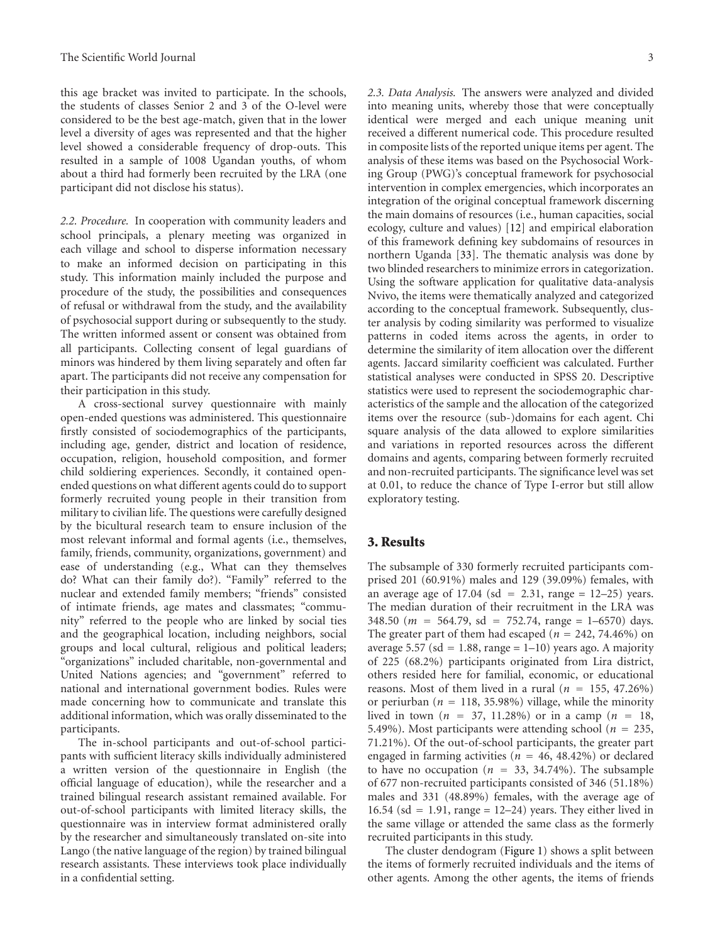this age bracket was invited to participate. In the schools, the students of classes Senior 2 and 3 of the O-level were considered to be the best age-match, given that in the lower level a diversity of ages was represented and that the higher level showed a considerable frequency of drop-outs. This resulted in a sample of 1008 Ugandan youths, of whom about a third had formerly been recruited by the LRA (one participant did not disclose his status).

*2.2. Procedure.* In cooperation with community leaders and school principals, a plenary meeting was organized in each village and school to disperse information necessary to make an informed decision on participating in this study. This information mainly included the purpose and procedure of the study, the possibilities and consequences of refusal or withdrawal from the study, and the availability of psychosocial support during or subsequently to the study. The written informed assent or consent was obtained from all participants. Collecting consent of legal guardians of minors was hindered by them living separately and often far apart. The participants did not receive any compensation for their participation in this study.

A cross-sectional survey questionnaire with mainly open-ended questions was administered. This questionnaire firstly consisted of sociodemographics of the participants, including age, gender, district and location of residence, occupation, religion, household composition, and former child soldiering experiences. Secondly, it contained openended questions on what different agents could do to support formerly recruited young people in their transition from military to civilian life. The questions were carefully designed by the bicultural research team to ensure inclusion of the most relevant informal and formal agents (i.e., themselves, family, friends, community, organizations, government) and ease of understanding (e.g., What can they themselves do? What can their family do?). "Family" referred to the nuclear and extended family members; "friends" consisted of intimate friends, age mates and classmates; "community" referred to the people who are linked by social ties and the geographical location, including neighbors, social groups and local cultural, religious and political leaders; "organizations" included charitable, non-governmental and United Nations agencies; and "government" referred to national and international government bodies. Rules were made concerning how to communicate and translate this additional information, which was orally disseminated to the participants.

The in-school participants and out-of-school participants with sufficient literacy skills individually administered a written version of the questionnaire in English (the official language of education), while the researcher and a trained bilingual research assistant remained available. For out-of-school participants with limited literacy skills, the questionnaire was in interview format administered orally by the researcher and simultaneously translated on-site into Lango (the native language of the region) by trained bilingual research assistants. These interviews took place individually in a confidential setting.

*2.3. Data Analysis.* The answers were analyzed and divided into meaning units, whereby those that were conceptually identical were merged and each unique meaning unit received a different numerical code. This procedure resulted in composite lists of the reported unique items per agent. The analysis of these items was based on the Psychosocial Working Group (PWG)'s conceptual framework for psychosocial intervention in complex emergencies, which incorporates an integration of the original conceptual framework discerning the main domains of resources (i.e., human capacities, social ecology, culture and values) [12] and empirical elaboration of this framework defining key subdomains of resources in northern Uganda [33]. The thematic analysis was done by two blinded researchers to minimize errors in categorization. Using the software application for qualitative data-analysis Nvivo, the items were thematically analyzed and categorized according to the conceptual framework. Subsequently, cluster analysis by coding similarity was performed to visualize patterns in coded items across the agents, in order to determine the similarity of item allocation over the different agents. Jaccard similarity coefficient was calculated. Further statistical analyses were conducted in SPSS 20. Descriptive statistics were used to represent the sociodemographic characteristics of the sample and the allocation of the categorized items over the resource (sub-)domains for each agent. Chi square analysis of the data allowed to explore similarities and variations in reported resources across the different domains and agents, comparing between formerly recruited and non-recruited participants. The significance level was set at 0.01, to reduce the chance of Type I-error but still allow exploratory testing.

#### **3. Results**

The subsample of 330 formerly recruited participants comprised 201 (60.91%) males and 129 (39.09%) females, with an average age of  $17.04$  (sd =  $2.31$ , range =  $12-25$ ) years. The median duration of their recruitment in the LRA was 348.50 (*<sup>m</sup>* <sup>=</sup> <sup>564</sup>*.*79, sd <sup>=</sup> <sup>752</sup>*.*74, range <sup>=</sup> 1–6570) days. The greater part of them had escaped ( $n = 242, 74.46\%$ ) on average 5.57 ( $sd = 1.88$ , range = 1–10) years ago. A majority of 225 (68.2%) participants originated from Lira district, others resided here for familial, economic, or educational reasons. Most of them lived in a rural  $(n = 155, 47.26\%)$ or periurban ( $n = 118, 35.98\%$ ) village, while the minority lived in town ( $n = 37, 11.28\%$ ) or in a camp ( $n = 18$ , 5.49%). Most participants were attending school (*<sup>n</sup>* <sup>=</sup> 235, 71.21%). Of the out-of-school participants, the greater part engaged in farming activities (*<sup>n</sup>* <sup>=</sup> 46, 48.42%) or declared to have no occupation  $(n = 33, 34.74\%)$ . The subsample of 677 non-recruited participants consisted of 346 (51.18%) males and 331 (48.89%) females, with the average age of 16.54 (sd = 1.91, range =  $12-24$ ) years. They either lived in the same village or attended the same class as the formerly recruited participants in this study.

The cluster dendogram (Figure 1) shows a split between the items of formerly recruited individuals and the items of other agents. Among the other agents, the items of friends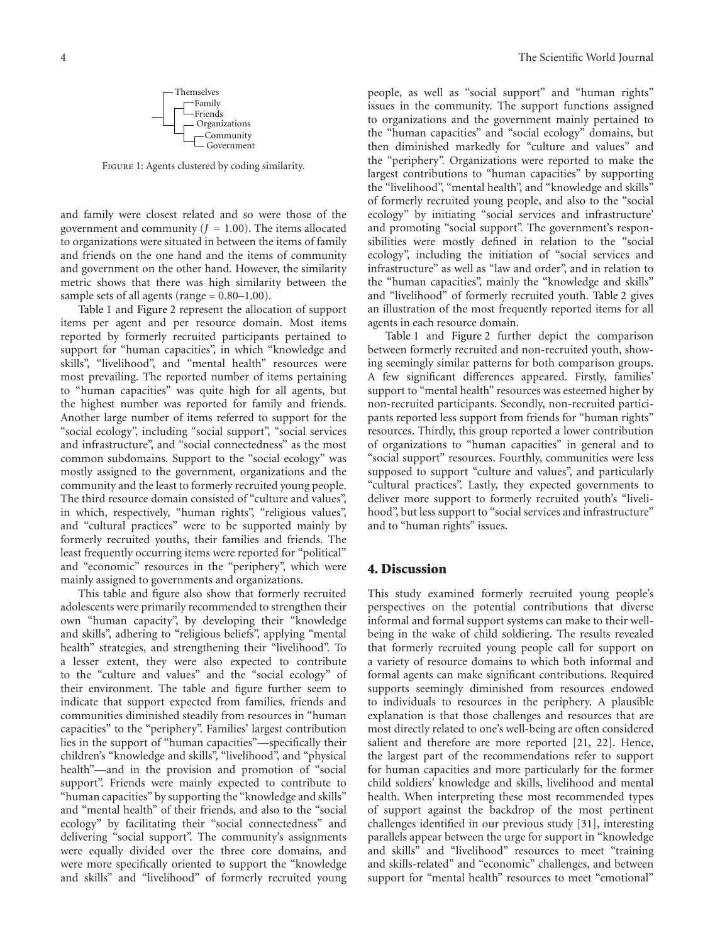

FIGURE 1: Agents clustered by coding similarity.

and family were closest related and so were those of the government and community  $(J = 1.00)$ . The items allocated to organizations were situated in between the items of family and friends on the one hand and the items of community and government on the other hand. However, the similarity metric shows that there was high similarity between the sample sets of all agents (range  $= 0.80 - 1.00$ ).

Table 1 and Figure 2 represent the allocation of support items per agent and per resource domain. Most items reported by formerly recruited participants pertained to support for "human capacities", in which "knowledge and skills", "livelihood", and "mental health" resources were most prevailing. The reported number of items pertaining to "human capacities" was quite high for all agents, but the highest number was reported for family and friends. Another large number of items referred to support for the "social ecology", including "social support", "social services and infrastructure", and "social connectedness" as the most common subdomains. Support to the "social ecology" was mostly assigned to the government, organizations and the community and the least to formerly recruited young people. The third resource domain consisted of "culture and values", in which, respectively, "human rights", "religious values", and "cultural practices" were to be supported mainly by formerly recruited youths, their families and friends. The least frequently occurring items were reported for "political" and "economic" resources in the "periphery", which were mainly assigned to governments and organizations.

This table and figure also show that formerly recruited adolescents were primarily recommended to strengthen their own "human capacity", by developing their "knowledge and skills", adhering to "religious beliefs", applying "mental health" strategies, and strengthening their "livelihood". To a lesser extent, they were also expected to contribute to the "culture and values" and the "social ecology" of their environment. The table and figure further seem to indicate that support expected from families, friends and communities diminished steadily from resources in "human capacities" to the "periphery". Families' largest contribution lies in the support of "human capacities"—specifically their children's "knowledge and skills", "livelihood", and "physical health"—and in the provision and promotion of "social support". Friends were mainly expected to contribute to "human capacities" by supporting the "knowledge and skills" and "mental health" of their friends, and also to the "social ecology" by facilitating their "social connectedness" and delivering "social support". The community's assignments were equally divided over the three core domains, and were more specifically oriented to support the "knowledge and skills" and "livelihood" of formerly recruited young

people, as well as "social support" and "human rights" issues in the community. The support functions assigned to organizations and the government mainly pertained to the "human capacities" and "social ecology" domains, but then diminished markedly for "culture and values" and the "periphery". Organizations were reported to make the largest contributions to "human capacities" by supporting the "livelihood", "mental health", and "knowledge and skills" of formerly recruited young people, and also to the "social ecology" by initiating "social services and infrastructure' and promoting "social support". The government's responsibilities were mostly defined in relation to the "social ecology", including the initiation of "social services and infrastructure" as well as "law and order", and in relation to the "human capacities", mainly the "knowledge and skills" and "livelihood" of formerly recruited youth. Table 2 gives an illustration of the most frequently reported items for all agents in each resource domain.

Table 1 and Figure 2 further depict the comparison between formerly recruited and non-recruited youth, showing seemingly similar patterns for both comparison groups. A few significant differences appeared. Firstly, families' support to "mental health" resources was esteemed higher by non-recruited participants. Secondly, non-recruited participants reported less support from friends for "human rights" resources. Thirdly, this group reported a lower contribution of organizations to "human capacities" in general and to "social support" resources. Fourthly, communities were less supposed to support "culture and values", and particularly "cultural practices". Lastly, they expected governments to deliver more support to formerly recruited youth's "livelihood", but less support to "social services and infrastructure" and to "human rights" issues.

#### **4. Discussion**

This study examined formerly recruited young people's perspectives on the potential contributions that diverse informal and formal support systems can make to their wellbeing in the wake of child soldiering. The results revealed that formerly recruited young people call for support on a variety of resource domains to which both informal and formal agents can make significant contributions. Required supports seemingly diminished from resources endowed to individuals to resources in the periphery. A plausible explanation is that those challenges and resources that are most directly related to one's well-being are often considered salient and therefore are more reported [21, 22]. Hence, the largest part of the recommendations refer to support for human capacities and more particularly for the former child soldiers' knowledge and skills, livelihood and mental health. When interpreting these most recommended types of support against the backdrop of the most pertinent challenges identified in our previous study [31], interesting parallels appear between the urge for support in "knowledge and skills" and "livelihood" resources to meet "training and skills-related" and "economic" challenges, and between support for "mental health" resources to meet "emotional"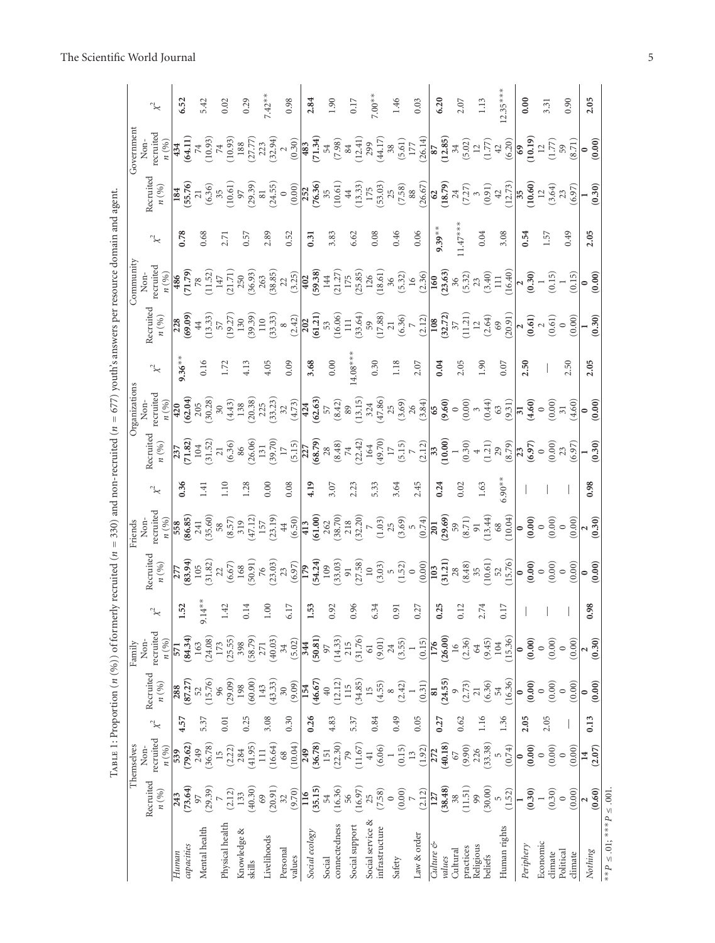|               | $x^2$                                                                   | 6.52                   | 5.42                                         | 0.02                            | 0.29                                           | $7.42***$                                                                                                  | 0.98                      | 2.84           | 1.90                                                                                                                                                           | 0.17                     | $7.00**$                           | 1.46                                                                                                                                                                                                                                                                                                                      | 0.03         | 6.20                      | 2.07                                                                                                                                                                                                                                                                                                                                                                                             | 1.13                      | $12.35***$     | 0.00                | 3.31                                                                                                                                                                                                                                                                                                                                 | 0.90                | 2.05                     |                                     |
|---------------|-------------------------------------------------------------------------|------------------------|----------------------------------------------|---------------------------------|------------------------------------------------|------------------------------------------------------------------------------------------------------------|---------------------------|----------------|----------------------------------------------------------------------------------------------------------------------------------------------------------------|--------------------------|------------------------------------|---------------------------------------------------------------------------------------------------------------------------------------------------------------------------------------------------------------------------------------------------------------------------------------------------------------------------|--------------|---------------------------|--------------------------------------------------------------------------------------------------------------------------------------------------------------------------------------------------------------------------------------------------------------------------------------------------------------------------------------------------------------------------------------------------|---------------------------|----------------|---------------------|--------------------------------------------------------------------------------------------------------------------------------------------------------------------------------------------------------------------------------------------------------------------------------------------------------------------------------------|---------------------|--------------------------|-------------------------------------|
| Government    | recruited<br>Non-                                                       | 434                    | (64.11)                                      |                                 |                                                | $\begin{array}{l} (10.93) \\ 74 \\ (10.93) \\ 188 \\ (27.77) \\ (23.3 \\ (32.94) \\ (0.30) \end{array}$    |                           |                |                                                                                                                                                                |                          |                                    |                                                                                                                                                                                                                                                                                                                           |              |                           | $(71.34) \times (7.38) \times (7.39) \times (7.39) \times (7.39) \times (7.39) \times (7.39) \times (7.39) \times (7.39) \times (7.39) \times (7.39) \times (7.39) \times (7.39) \times (7.39) \times (7.39) \times (7.39) \times (7.39) \times (7.39) \times (7.39) \times (7.39) \times (7.39) \times (7.39) \times (7.39) \times (7.39) \times (7.39) \times (7.39) \times (7.39) \times (7.$ |                           |                |                     | $\overline{\begin{array}{c} \mathbf{69} \\ (10.19) \\ (1.77) \\ (8.71) \\ (8.71) \end{array}}$                                                                                                                                                                                                                                       |                     | (0.00)                   |                                     |
|               | Recruited<br>n(%)                                                       | $184$<br>(55.76)<br>21 |                                              |                                 |                                                | $\begin{array}{c} (6.36) \\ 35 \\ (10.61) \\ 97 \\ (29.39) \\ (24.55) \\ (0.00) \\ (0.00) \end{array}$     |                           |                |                                                                                                                                                                |                          |                                    | $\begin{array}{l} {\bf 252} \\ ({\bf 76.36}) \\ ({\bf 10.61}) \\ ({\bf 10.51}) \\ ({\bf 11.33}) \\ ({\bf 13.35}) \\ ({\bf 53.03}) \\ ({\bf 53.03}) \\ ({\bf 7.58}) \\ ({\bf 88} \\ ({\bf 26.67}) \end{array}$                                                                                                             |              |                           |                                                                                                                                                                                                                                                                                                                                                                                                  |                           |                |                     | (18.79)<br>(18.79)<br>(7.27)<br>(3.42)<br>(10.60)<br>(10.60)<br>(3.64)<br>(3.64)<br>(3.64)                                                                                                                                                                                                                                           |                     | (0.30)                   |                                     |
|               | $\approx$                                                               | 0.78                   | 0.68                                         | 2.71                            | 0.57                                           | 2.89                                                                                                       | 0.52                      | 0.31           | 3.83                                                                                                                                                           | 6.62                     | 0.08                               | 0.46                                                                                                                                                                                                                                                                                                                      | 0.06         | $9.39***$                 | $11.47***$                                                                                                                                                                                                                                                                                                                                                                                       | 0.04                      | 3.08           | 0.54                | 1.57                                                                                                                                                                                                                                                                                                                                 | 0.49                | 2.05                     |                                     |
| Community     | ecruited:<br>n(%)<br>Non-                                               | (71.79)<br>486         | (11.52)<br>$78$                              | $147\,$                         |                                                | $(21.71)$<br>$(250)$<br>$(36.93)$<br>$2(63)$<br>$(38.85)$<br>$(3.25)$<br>$(402)$<br>$(59.38)$              |                           |                | $\begin{array}{c} 144 \\ (21.27) \\ 175 \\ (25.85) \end{array}$                                                                                                |                          |                                    |                                                                                                                                                                                                                                                                                                                           |              |                           | $\begin{bmatrix} 126 \\ (18.61) \\ 36 \\ (5.32) \\ 16 \\ (2.36) \\ (2.363) \\ (3.32) \\ (5.32) \\ (5.32) \\ (5.32) \\ \end{bmatrix}$                                                                                                                                                                                                                                                             | $(3.40)$<br>111           |                |                     | $\frac{(16.40)}{2}$<br>$(0.30)$<br>$1$<br>$(0.15)$                                                                                                                                                                                                                                                                                   | (0.15)              | (0.00)                   |                                     |
|               | Recruited<br>n(%)                                                       | $\frac{228}{(69.09)}$  | $44\,$                                       | $\frac{(13.33)}{57}$<br>(19.27) | $\begin{bmatrix} 130 \\ (39.39) \end{bmatrix}$ | $\begin{array}{c} 110 \\ (33.33) \\ 8 \\ (2.42) \end{array}$                                               |                           |                |                                                                                                                                                                |                          |                                    | $\begin{array}{r} \hline 202 \\ \hline (61.21) \\ 53 \\ 16.06) \\ (16.06) \\ (16.06) \\ (33.64) \\ (59) \\ (17.88) \\ (2.12) \\ (2.12) \\ \hline \end{array}$                                                                                                                                                             |              |                           | $\begin{array}{c} {\bf 108} \\ ({\bf 32.72}) \\ {\bf 37} \\ ({\bf 11.21}) \\ ({\bf 11.21}) \\ ({\bf 2.64}) \\ ({\bf 2.69}) \\ ({\bf 2.091}) \end{array}$                                                                                                                                                                                                                                         |                           |                |                     | $\sqrt{\frac{2}{(0.61)}}$                                                                                                                                                                                                                                                                                                            | (0.00)              | (0.30)                   |                                     |
|               | $x^2$                                                                   | $9.36**$               | 0.16                                         | 1.72                            | 4.13                                           | 4.05                                                                                                       | 0.09                      | 3.68           | $0.00\,$                                                                                                                                                       | $14.08***$               | 0.30                               | 1.18                                                                                                                                                                                                                                                                                                                      | 2.07         | 0.04                      | 2.05                                                                                                                                                                                                                                                                                                                                                                                             | 1.90                      | 0.07           | 2.50                |                                                                                                                                                                                                                                                                                                                                      | 2.50                | 2.05                     |                                     |
| Organizations | ecruited<br>Non-                                                        | (62.04)<br>420         | $\begin{bmatrix} 205 \\ 30.28 \end{bmatrix}$ |                                 |                                                | $\begin{array}{c} (4.43) \\ 138 \\ (20.38) \\ 225 \\ (33.23) \\ 32 \\ (4.73) \end{array}$                  |                           |                |                                                                                                                                                                |                          |                                    | $\begin{array}{c} \bf{424} \\ \bf{62.63}) \\ (62.63) \\ (8.42) \\ (8.9) \\ (13.15) \\ (13.15) \\ (3.6) \\ (3.69) \\ (3.64) \\ (3.84) \\ \end{array}$                                                                                                                                                                      |              | $^{65}_{(9,60)}$          | (0.00)                                                                                                                                                                                                                                                                                                                                                                                           | (0.44)                    | (9.31)         |                     | $\begin{array}{c} \hline \mathbf{31} \\ (\mathbf{4.60}) \\ 0 \\ (0.00) \\ \mathbf{71} \\ (4.60) \\ \hline \end{array}$                                                                                                                                                                                                               |                     | (0.00)                   |                                     |
|               | Recruited<br>$n\; ( \%)$                                                | (71.82)<br>237         | $\frac{104}{31.52}$                          | $21\,$                          |                                                | $\begin{array}{c} (6.36) \\ 86 \\ (26.06) \\ 131 \\ (39.70) \\ 17 \\ (5.15) \end{array}$                   |                           |                | $\begin{array}{r} \n \textbf{227} \\  \textbf{(68.79)} \\  \textbf{28} \\  \textbf{(8.48)} \\  \textbf{74} \\  \textbf{74} \\  \textbf{(22.42)}\n \end{array}$ |                          |                                    | $\begin{array}{c} 164 \\ (49.70) \\ 17 \\ (5.15) \\ 7 \end{array}$                                                                                                                                                                                                                                                        | (2.12)       | $\frac{1}{33}$<br>(10.00) | (0.30)                                                                                                                                                                                                                                                                                                                                                                                           | (1.21)                    | (8.79)<br>29   |                     | $\begin{array}{c} \hline 23 \\ (\textbf{6.97}) \\ 0.00 \\ (0.00) \\ (6.97) \\ \hline \end{array}$                                                                                                                                                                                                                                    |                     | (0.30)                   |                                     |
|               | $\approx$                                                               | 0.36                   | 1.41                                         | 1.10                            | 1.28                                           | 0.00                                                                                                       | 0.08                      | 4.19           | 3.07                                                                                                                                                           | 2.23                     | 5.33                               | 3.64                                                                                                                                                                                                                                                                                                                      | 2.45         | 0.24                      | 0.02                                                                                                                                                                                                                                                                                                                                                                                             | 1.63                      | $6.90**$       |                     |                                                                                                                                                                                                                                                                                                                                      |                     | 0.98                     |                                     |
| Friends       | ecruited<br>$_{\rm Non}$<br>n(%)                                        | $\frac{558}{241}$      | $(35.60)$<br>$58$                            |                                 |                                                |                                                                                                            |                           |                |                                                                                                                                                                |                          |                                    |                                                                                                                                                                                                                                                                                                                           |              |                           | $\begin{array}{c} (8.57)\\ (3.19)\\ (47.12)\\ (5.9)\\ (5.9)\\ (6.9)\\ (6.10)\\ (6.00)\\ (6.00)\\ (7.00)\\ (8.70)\\ (9.00)\\ (1.00)\\ (1.00)\\ (1.00)\\ (1.00)\\ (1.00)\\ (1.00)\\ (1.00)\\ (1.00)\\ (1.00)\\ (1.00)\\ (1.00)\\ (1.00)\\ (1.00)\\ (1.00)\\ (1.00)\\ (1.00)\\ (1.00)\\ (1.00)\\ (1.00$                                                                                             | (13.44)                   |                |                     | $\begin{array}{c} 68 \\ (10.04) \\ \bf{0.00} \\ (0.00) \\ (0.00) \\ (0.00) \\ \end{array}$                                                                                                                                                                                                                                           |                     | (0.30)                   |                                     |
|               | Recruited $n\left(\begin{smallmatrix} 96\\ 90 \end{smallmatrix}\right)$ | 277                    |                                              |                                 |                                                | <b>(83.94)</b><br>105<br>105<br>105<br>105<br>(31.82)<br>(6.67)<br>50.91)<br>76<br>(50.91)<br>76<br>(9.97) |                           |                |                                                                                                                                                                |                          |                                    | $\begin{bmatrix} 179 \\ 174.24 \\ 109 \\ 109 \\ 91 \\ 21.58 \\ 21.58 \\ 100 \\ 101 \\ 100 \\ 101 \\ 100 \\ 101 \\ 100 \\ 000 \\ 000 \\ 000 \\ 000 \\ 000 \\ 000 \\ 000 \\ 000 \\ 000 \\ 000 \\ 000 \\ 000 \\ 000 \\ 000 \\ 000 \\ 000 \\ 000 \\ 000 \\ 000 \\ 000 \\ 000 \\ 000 \\ 000 \\ 000 \\ 000 \\ 000 \\ 000 \\ 00$ |              |                           | $\begin{array}{c} \textbf{103} \\ \textbf{(31.21)} \\ \textbf{28} \\ \textbf{(8.48)} \\ \textbf{35} \\ \textbf{52} \\ \textbf{53} \\ \textbf{(10.61)} \\ \textbf{52} \\ \textbf{(15.76)} \end{array}$                                                                                                                                                                                            |                           |                |                     | $\begin{pmatrix} 0 & 0 & 0 \\ 0 & 0 & 0 \\ 0 & 0 & 0 \\ 0 & 0 & 0 \\ 0 & 0 & 0 \\ 0 & 0 & 0 \\ 0 & 0 & 0 \\ 0 & 0 & 0 \\ 0 & 0 & 0 \\ 0 & 0 & 0 \\ 0 & 0 & 0 \\ 0 & 0 & 0 \\ 0 & 0 & 0 \\ 0 & 0 & 0 \\ 0 & 0 & 0 \\ 0 & 0 & 0 \\ 0 & 0 & 0 \\ 0 & 0 & 0 & 0 \\ 0 & 0 & 0 & 0 \\ 0 & 0 & 0 & 0 \\ 0 & 0 & 0 & 0 \\ 0 & 0 & 0 & 0 \\ $ |                     | (0.00)                   |                                     |
|               |                                                                         | 1.52                   | $9.14***$                                    | 1.42                            | 0.14                                           | $1.00\,$                                                                                                   | 6.17                      | 1.53           | 0.92                                                                                                                                                           | 0.96                     | 6.34                               | 0.91                                                                                                                                                                                                                                                                                                                      | 0.27         | 0.25                      | 0.12                                                                                                                                                                                                                                                                                                                                                                                             | 2.74                      | $0.17\,$       |                     |                                                                                                                                                                                                                                                                                                                                      |                     | 0.98                     |                                     |
| Family        | recruited<br>Non-<br>n(%)                                               | (84.34)<br>571         | (24.08)<br>163                               | (25.55)<br>173                  | (58.79)<br>398                                 | (40.03)<br>271                                                                                             | (5.02)<br>34              | (50.81)<br>344 | (14.33)<br>97                                                                                                                                                  | (31.76)<br>215           | (9.01)<br>$61\,$                   | $\frac{24}{(3.55)}$                                                                                                                                                                                                                                                                                                       | (0.15)       | (26.00)<br>176            | (2.36)<br>$\frac{16}{1}$                                                                                                                                                                                                                                                                                                                                                                         | (9.45)<br>64              | (15.36)<br>104 |                     | $\begin{array}{c} \textbf{(0.00)} \\ \textbf{0} \\ \textbf{(0.00)} \\ \textbf{(0.00)} \end{array}$                                                                                                                                                                                                                                   | (0.00)              | (0.30)                   |                                     |
|               | Recruited<br>$n\; ( \%)$                                                | (87.27)<br>288         | (15.76)                                      | (29.09)<br>96                   | (60.00)<br>198                                 | (43.33)<br>143                                                                                             | (9.09)<br>$\overline{30}$ | (46.67)<br>154 | (12.12)<br>$40$                                                                                                                                                | (34.85)<br>115           | (4.55)<br>15                       | (2.42)<br>$\infty$                                                                                                                                                                                                                                                                                                        | (0.31)       | (24.55)<br>8I             | (2.73)                                                                                                                                                                                                                                                                                                                                                                                           | (6.36)<br>$\overline{21}$ | (16.36)<br>54  | (0.00)              | $(0.00)$                                                                                                                                                                                                                                                                                                                             | (0.00)              | (0.00)                   |                                     |
|               | $\approx$                                                               | 4.57                   | 5.37                                         | 0.01                            | 0.25                                           | 3.08                                                                                                       | 0.30                      | 0.26           | 4.83                                                                                                                                                           | 5.37                     | 0.84                               | 0.49                                                                                                                                                                                                                                                                                                                      | 0.05         | 0.27                      | 0.62                                                                                                                                                                                                                                                                                                                                                                                             | 1.16                      | 1.36           | 2.05                | 2.05                                                                                                                                                                                                                                                                                                                                 |                     | 0.13                     |                                     |
| Themselves    | recruited<br>$Non-$<br>n(%)                                             | (79.62)<br>539         | (36.78)<br>249                               | (2.22)<br>15                    | (41.95)<br>284                                 | (16.64)<br>$\Xi$                                                                                           | (10.04)<br>68             | (36.78)<br>249 | (22.30)<br>151                                                                                                                                                 | (11.67)<br>$\mathcal{L}$ | (6.06)<br>$\mp$                    | (0.15)                                                                                                                                                                                                                                                                                                                    | (1.92)<br>13 | (40.18)<br>272            | (9.90)<br>$67\,$                                                                                                                                                                                                                                                                                                                                                                                 | (33.38)<br>226            | (0.74)         | (0.00)<br>$\bullet$ | (0.00)                                                                                                                                                                                                                                                                                                                               | (0.00)              | (2.07)<br>$\overline{1}$ |                                     |
|               | Recruited<br>n(%)                                                       | (73.64)<br>243         | (29.39)<br>97                                | (2.12)                          | (40.30)<br>133                                 | (20.91)<br>$69\,$                                                                                          | (9.70)<br>32              | (35.15)<br>116 | (16.36)<br>54                                                                                                                                                  | (16.97)<br>56            | (7.58)<br>25                       | (0.00)<br>$\circ$                                                                                                                                                                                                                                                                                                         | (2.12)       | (38.48)<br>127            | $(11.51)$<br>99<br>38                                                                                                                                                                                                                                                                                                                                                                            | (30.00)                   | (1.52)         | (0.30)              | (0.30)                                                                                                                                                                                                                                                                                                                               | (0.00)              | (0.60)                   |                                     |
|               |                                                                         | capacities<br>Human    | Mental health                                | Physical health                 | Knowledge &<br>skills                          | Livelihoods                                                                                                | Personal<br>values        | Social ecology | connectedness<br>Social                                                                                                                                        | Social support           | Social service &<br>infrastructure | Safety                                                                                                                                                                                                                                                                                                                    | Law & order  | Culture &<br>values       | practices<br>Cultural                                                                                                                                                                                                                                                                                                                                                                            | Religious<br>beliefs      | Human rights   | Periphery           | Economic<br>dimate                                                                                                                                                                                                                                                                                                                   | Political<br>dimate | Nothing                  | ** $P \le 0.01$ ; *** $P \le 0.001$ |

# The Scientific World Journal 5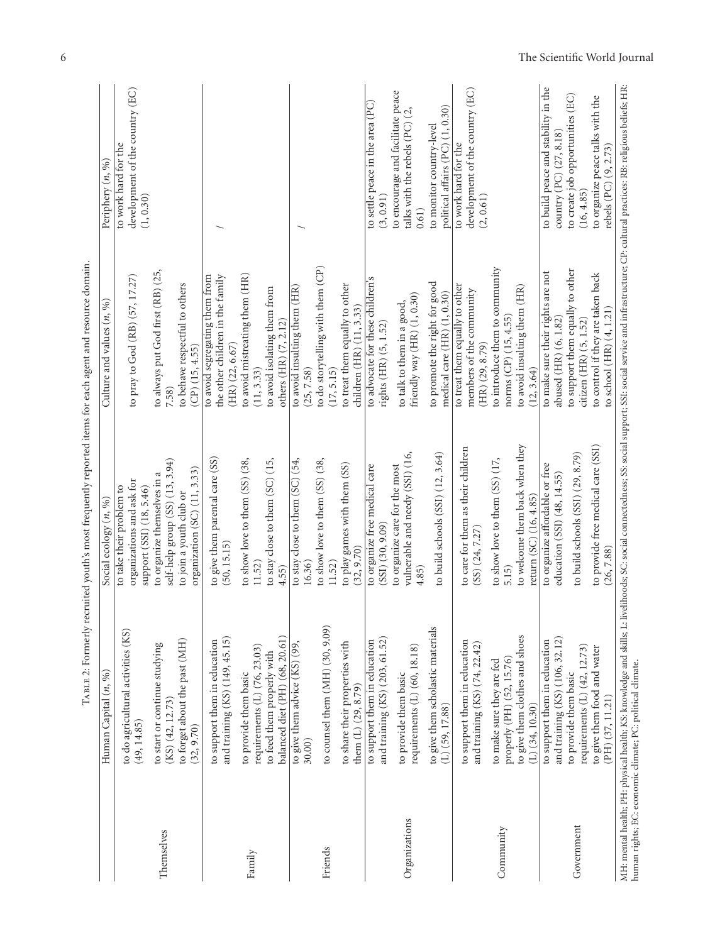|               |                                                                                                                                                                                             | Typers 5. Loring 1. Loring and the process of the control of the collection of the collection of the collection of the collection of the collection of the collection of the collection of the collection of the collection of |                                                                                                                                                                                                    |                                                                                                                                                                                               |
|---------------|---------------------------------------------------------------------------------------------------------------------------------------------------------------------------------------------|--------------------------------------------------------------------------------------------------------------------------------------------------------------------------------------------------------------------------------|----------------------------------------------------------------------------------------------------------------------------------------------------------------------------------------------------|-----------------------------------------------------------------------------------------------------------------------------------------------------------------------------------------------|
|               | Human Capital $(n, \%)$                                                                                                                                                                     | Social ecology $(n, \%)$                                                                                                                                                                                                       | Culture and values $(n, 96)$                                                                                                                                                                       | Periphery (n, %)                                                                                                                                                                              |
|               | to do agricultural activities (KS)<br>(49, 14.85)                                                                                                                                           | organizations and ask for<br>to take their problem to<br>support (SSI) (18, 5.46)                                                                                                                                              | to pray to God (RB) (57, 17.27)                                                                                                                                                                    | development of the country (EC)<br>to work hard for the<br>(1, 0.30)                                                                                                                          |
| Themselves    | to forget about the past (MH)<br>to start or continue studying<br>$(KS)$ $(42, 12.73)$<br>(32, 9.70)                                                                                        | self-help group (SS) (13, 3.94)<br>organization (SC) (11, 3.33)<br>to organize themselves in a<br>to join a youth club or                                                                                                      | to always put God first (RB) (25,<br>to behave respectful to others<br>$(CP)$ (15, 4.55)<br>7.58)                                                                                                  |                                                                                                                                                                                               |
| Family        | balanced diet (PH) (68, 20.61)<br>and training (KS) (149, 45.15)<br>to support them in education<br>requirements $(L)$ $(76, 23.03)$<br>to feed them properly with<br>to provide them basic | to give them parental care (SS)<br>to stay close to them (SC) (15,<br>to show love to them (SS) (38,<br>(50, 15.15)<br>11.52)<br>4.55)                                                                                         | to avoid mistreating them (HR)<br>the other children in the family<br>to avoid segregating them from<br>to avoid isolating them from<br>others (HR) (7, 2.12)<br>$(HR)$ $(22, 6.67)$<br>(11, 3.33) |                                                                                                                                                                                               |
| Friends       | to counsel them $(MH)$ $(30, 9.09)$<br>to share their properties with<br>to give them advice (KS) (99,<br>them $(L)$ $(29, 8.79)$<br>30.00)                                                 | to show love to them $(SS)$ $(38,$<br>to stay close to them $(SC)$ $(54,$<br>to play games with them (SS)<br>(32, 9.70)<br>11.52)<br>16.36                                                                                     | to do storytelling with them $(CP)$<br>to treat them equally to other<br>to avoid insulting them (HR)<br>children (HR) (11, 3.33)<br>(25, 7.58)<br>(17, 5.15)                                      |                                                                                                                                                                                               |
| Organizations | to give them scholastic materials<br>and training (KS) (203, 61.52)<br>to support them in education<br>requirements $(L)$ (60, 18.18)<br>to provide them basic<br>$(L)$ (59, 17.88)         | to build schools (SSI) (12, 3.64)<br>vulnerable and needy (SSI) (16,<br>to organize care for the most<br>to organize free medical care<br>$(SSI)$ $(30, 9.09)$<br>4.85                                                         | to advocate for these children's<br>to promote the right for good<br>medical care $(HR)$ $(1, 0.30)$<br>friendly way (HR) (1, 0.30)<br>to talk to them in a good,<br>rights (HR) (5, 1.52)         | to encourage and facilitate peace<br>to settle peace in the area (PC)<br>political affairs (PC) (1, 0.30)<br>talks with the rebels (PC) (2,<br>to monitor country-level<br>(3, 0.91)<br>0.61) |
| Community     | to give them clothes and shoes<br>to support them in education<br>and training (KS) (74, 22.42)<br>properly (PH) (52, 15.76)<br>to make sure they are fed<br>$(L)$ (34, 10.30)              | to welcome them back when they<br>to care for them as their children<br>to show love to them (SS) (17,<br>return (SC) (16, 4.85)<br>(SS) (24, 7.27)<br>5.15)                                                                   | to introduce them to community<br>to treat them equally to other<br>to avoid insulting them (HR)<br>members of the community<br>norms $CP$ $(15, 4.55)$<br>$(HR)$ $(29, 8.79)$<br>(12, 3.64)       | development of the country (EC)<br>to work hard for the<br>(2, 0.61)                                                                                                                          |
| Government    | and training (KS) (106, 32.12)<br>to support them in education<br>requirements $(L)$ $(42, 12.73)$<br>to give them food and water<br>to provide them basic<br>$(PH)$ $(37, 11.21)$          | to provide free medical care (SSI)<br>to build schools (SSI) (29, 8.79)<br>to organize affordable or free<br>education (SSI) (48, 14.55)<br>(26, 7.88)                                                                         | to support them equally to other<br>to make sure their rights are not<br>to control if they are taken back<br>to school (HR) (4, 1.21)<br>abused (HR) (6, 1.82)<br>citizen (HR) (5, 1.52)          | to build peace and stability in the<br>to create job opportunities (EC)<br>to organize peace talks with the<br>country (PC) (27, 8.18)<br>rebels (PC) (9, 2.73)<br>(16, 4.85)                 |
|               | human rights; EC: economic climate; PC: political climate.                                                                                                                                  | MH: mental health; PH: physical health; KS: knowledge and skills; L: livelihoods; SC: social connectedness; SS: social support; SSI: social service and infrastructure; CP: cultural practices: RB: religious beliefs; HR:     |                                                                                                                                                                                                    |                                                                                                                                                                                               |

 $T_{AB, B, E, E}$ ? Formerly recruited vouth's most frequently reported items for each agent and resource domain. Table 2: Formerly recruited youth's most frequently reported items for each agent and resource domain.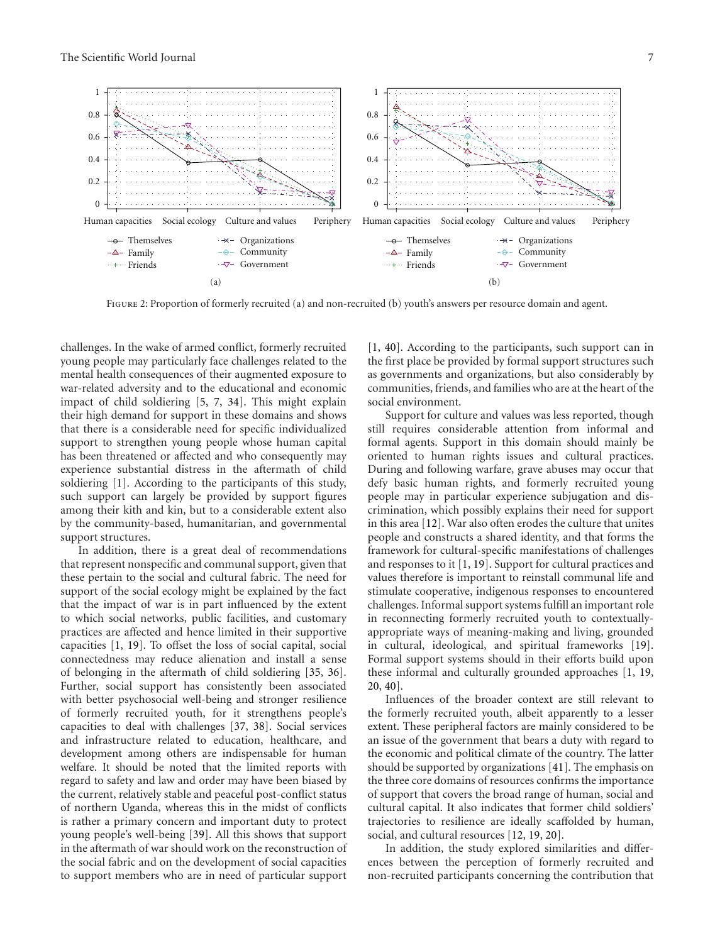

FIGURE 2: Proportion of formerly recruited (a) and non-recruited (b) youth's answers per resource domain and agent.

challenges. In the wake of armed conflict, formerly recruited young people may particularly face challenges related to the mental health consequences of their augmented exposure to war-related adversity and to the educational and economic impact of child soldiering [5, 7, 34]. This might explain their high demand for support in these domains and shows that there is a considerable need for specific individualized support to strengthen young people whose human capital has been threatened or affected and who consequently may experience substantial distress in the aftermath of child soldiering [1]. According to the participants of this study, such support can largely be provided by support figures among their kith and kin, but to a considerable extent also by the community-based, humanitarian, and governmental support structures.

In addition, there is a great deal of recommendations that represent nonspecific and communal support, given that these pertain to the social and cultural fabric. The need for support of the social ecology might be explained by the fact that the impact of war is in part influenced by the extent to which social networks, public facilities, and customary practices are affected and hence limited in their supportive capacities [1, 19]. To offset the loss of social capital, social connectedness may reduce alienation and install a sense of belonging in the aftermath of child soldiering [35, 36]. Further, social support has consistently been associated with better psychosocial well-being and stronger resilience of formerly recruited youth, for it strengthens people's capacities to deal with challenges [37, 38]. Social services and infrastructure related to education, healthcare, and development among others are indispensable for human welfare. It should be noted that the limited reports with regard to safety and law and order may have been biased by the current, relatively stable and peaceful post-conflict status of northern Uganda, whereas this in the midst of conflicts is rather a primary concern and important duty to protect young people's well-being [39]. All this shows that support in the aftermath of war should work on the reconstruction of the social fabric and on the development of social capacities to support members who are in need of particular support

[1, 40]. According to the participants, such support can in the first place be provided by formal support structures such as governments and organizations, but also considerably by communities, friends, and families who are at the heart of the social environment.

Support for culture and values was less reported, though still requires considerable attention from informal and formal agents. Support in this domain should mainly be oriented to human rights issues and cultural practices. During and following warfare, grave abuses may occur that defy basic human rights, and formerly recruited young people may in particular experience subjugation and discrimination, which possibly explains their need for support in this area [12]. War also often erodes the culture that unites people and constructs a shared identity, and that forms the framework for cultural-specific manifestations of challenges and responses to it [1, 19]. Support for cultural practices and values therefore is important to reinstall communal life and stimulate cooperative, indigenous responses to encountered challenges. Informal support systems fulfill an important role in reconnecting formerly recruited youth to contextuallyappropriate ways of meaning-making and living, grounded in cultural, ideological, and spiritual frameworks [19]. Formal support systems should in their efforts build upon these informal and culturally grounded approaches [1, 19, 20, 40].

Influences of the broader context are still relevant to the formerly recruited youth, albeit apparently to a lesser extent. These peripheral factors are mainly considered to be an issue of the government that bears a duty with regard to the economic and political climate of the country. The latter should be supported by organizations [41]. The emphasis on the three core domains of resources confirms the importance of support that covers the broad range of human, social and cultural capital. It also indicates that former child soldiers' trajectories to resilience are ideally scaffolded by human, social, and cultural resources [12, 19, 20].

In addition, the study explored similarities and differences between the perception of formerly recruited and non-recruited participants concerning the contribution that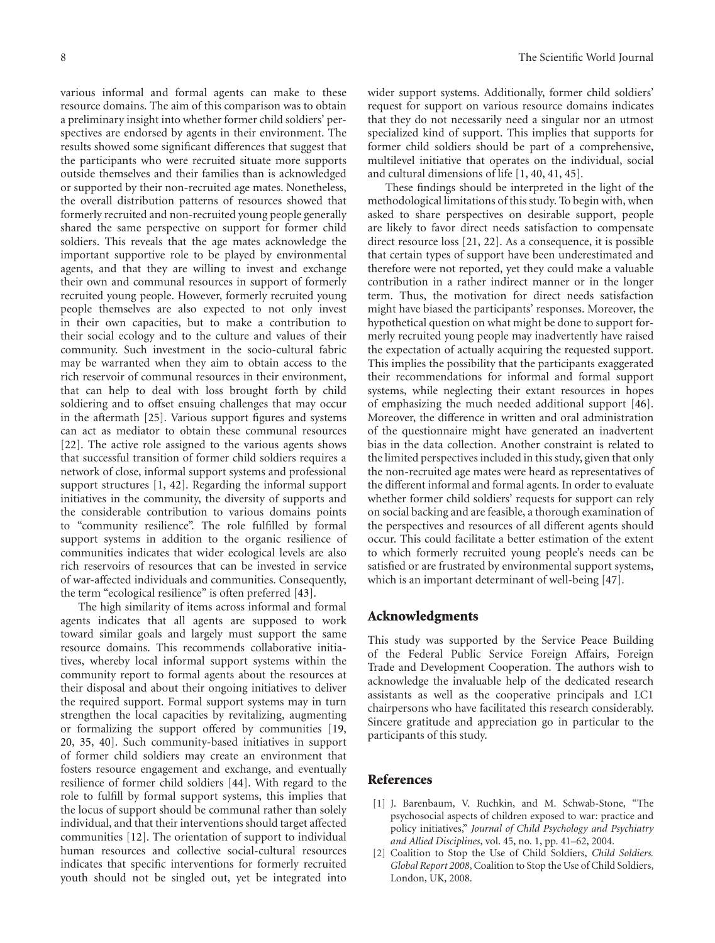various informal and formal agents can make to these resource domains. The aim of this comparison was to obtain a preliminary insight into whether former child soldiers' perspectives are endorsed by agents in their environment. The results showed some significant differences that suggest that the participants who were recruited situate more supports outside themselves and their families than is acknowledged or supported by their non-recruited age mates. Nonetheless, the overall distribution patterns of resources showed that formerly recruited and non-recruited young people generally shared the same perspective on support for former child soldiers. This reveals that the age mates acknowledge the important supportive role to be played by environmental agents, and that they are willing to invest and exchange their own and communal resources in support of formerly recruited young people. However, formerly recruited young people themselves are also expected to not only invest in their own capacities, but to make a contribution to their social ecology and to the culture and values of their community. Such investment in the socio-cultural fabric may be warranted when they aim to obtain access to the rich reservoir of communal resources in their environment, that can help to deal with loss brought forth by child soldiering and to offset ensuing challenges that may occur in the aftermath [25]. Various support figures and systems can act as mediator to obtain these communal resources [22]. The active role assigned to the various agents shows that successful transition of former child soldiers requires a network of close, informal support systems and professional support structures [1, 42]. Regarding the informal support initiatives in the community, the diversity of supports and the considerable contribution to various domains points to "community resilience". The role fulfilled by formal support systems in addition to the organic resilience of communities indicates that wider ecological levels are also rich reservoirs of resources that can be invested in service of war-affected individuals and communities. Consequently, the term "ecological resilience" is often preferred [43].

The high similarity of items across informal and formal agents indicates that all agents are supposed to work toward similar goals and largely must support the same resource domains. This recommends collaborative initiatives, whereby local informal support systems within the community report to formal agents about the resources at their disposal and about their ongoing initiatives to deliver the required support. Formal support systems may in turn strengthen the local capacities by revitalizing, augmenting or formalizing the support offered by communities [19, 20, 35, 40]. Such community-based initiatives in support of former child soldiers may create an environment that fosters resource engagement and exchange, and eventually resilience of former child soldiers [44]. With regard to the role to fulfill by formal support systems, this implies that the locus of support should be communal rather than solely individual, and that their interventions should target affected communities [12]. The orientation of support to individual human resources and collective social-cultural resources indicates that specific interventions for formerly recruited youth should not be singled out, yet be integrated into

wider support systems. Additionally, former child soldiers' request for support on various resource domains indicates that they do not necessarily need a singular nor an utmost specialized kind of support. This implies that supports for former child soldiers should be part of a comprehensive, multilevel initiative that operates on the individual, social and cultural dimensions of life [1, 40, 41, 45].

These findings should be interpreted in the light of the methodological limitations of this study. To begin with, when asked to share perspectives on desirable support, people are likely to favor direct needs satisfaction to compensate direct resource loss [21, 22]. As a consequence, it is possible that certain types of support have been underestimated and therefore were not reported, yet they could make a valuable contribution in a rather indirect manner or in the longer term. Thus, the motivation for direct needs satisfaction might have biased the participants' responses. Moreover, the hypothetical question on what might be done to support formerly recruited young people may inadvertently have raised the expectation of actually acquiring the requested support. This implies the possibility that the participants exaggerated their recommendations for informal and formal support systems, while neglecting their extant resources in hopes of emphasizing the much needed additional support [46]. Moreover, the difference in written and oral administration of the questionnaire might have generated an inadvertent bias in the data collection. Another constraint is related to the limited perspectives included in this study, given that only the non-recruited age mates were heard as representatives of the different informal and formal agents. In order to evaluate whether former child soldiers' requests for support can rely on social backing and are feasible, a thorough examination of the perspectives and resources of all different agents should occur. This could facilitate a better estimation of the extent to which formerly recruited young people's needs can be satisfied or are frustrated by environmental support systems, which is an important determinant of well-being [47].

#### **Acknowledgments**

This study was supported by the Service Peace Building of the Federal Public Service Foreign Affairs, Foreign Trade and Development Cooperation. The authors wish to acknowledge the invaluable help of the dedicated research assistants as well as the cooperative principals and LC1 chairpersons who have facilitated this research considerably. Sincere gratitude and appreciation go in particular to the participants of this study.

#### **References**

- [1] J. Barenbaum, V. Ruchkin, and M. Schwab-Stone, "The psychosocial aspects of children exposed to war: practice and policy initiatives," *Journal of Child Psychology and Psychiatry and Allied Disciplines*, vol. 45, no. 1, pp. 41–62, 2004.
- [2] Coalition to Stop the Use of Child Soldiers, *Child Soldiers. Global Report 2008*, Coalition to Stop the Use of Child Soldiers, London, UK, 2008.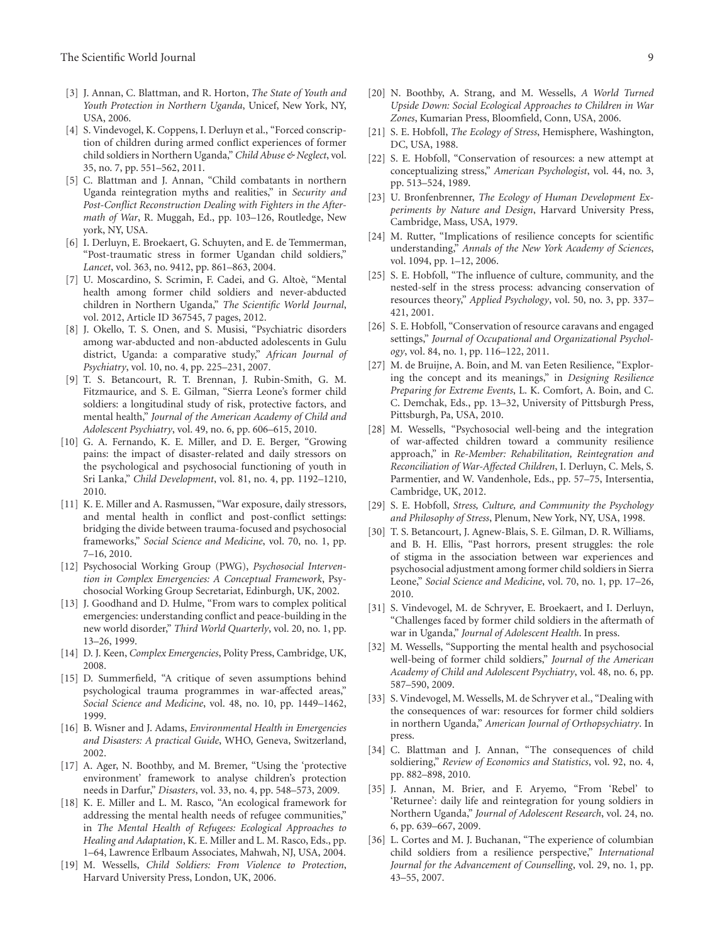- [3] J. Annan, C. Blattman, and R. Horton, *The State of Youth and Youth Protection in Northern Uganda*, Unicef, New York, NY, USA, 2006.
- [4] S. Vindevogel, K. Coppens, I. Derluyn et al., "Forced conscription of children during armed conflict experiences of former child soldiers in Northern Uganda," *Child Abuse & Neglect*, vol. 35, no. 7, pp. 551–562, 2011.
- [5] C. Blattman and J. Annan, "Child combatants in northern Uganda reintegration myths and realities," in *Security and Post-Conflict Reconstruction Dealing with Fighters in the Aftermath of War*, R. Muggah, Ed., pp. 103–126, Routledge, New york, NY, USA.
- [6] I. Derluyn, E. Broekaert, G. Schuyten, and E. de Temmerman, "Post-traumatic stress in former Ugandan child soldiers," *Lancet*, vol. 363, no. 9412, pp. 861–863, 2004.
- [7] U. Moscardino, S. Scrimin, F. Cadei, and G. Altoe, "Mental ` health among former child soldiers and never-abducted children in Northern Uganda," *The Scientific World Journal*, vol. 2012, Article ID 367545, 7 pages, 2012.
- [8] J. Okello, T. S. Onen, and S. Musisi, "Psychiatric disorders among war-abducted and non-abducted adolescents in Gulu district, Uganda: a comparative study," *African Journal of Psychiatry*, vol. 10, no. 4, pp. 225–231, 2007.
- [9] T. S. Betancourt, R. T. Brennan, J. Rubin-Smith, G. M. Fitzmaurice, and S. E. Gilman, "Sierra Leone's former child soldiers: a longitudinal study of risk, protective factors, and mental health," *Journal of the American Academy of Child and Adolescent Psychiatry*, vol. 49, no. 6, pp. 606–615, 2010.
- [10] G. A. Fernando, K. E. Miller, and D. E. Berger, "Growing pains: the impact of disaster-related and daily stressors on the psychological and psychosocial functioning of youth in Sri Lanka," *Child Development*, vol. 81, no. 4, pp. 1192–1210, 2010.
- [11] K. E. Miller and A. Rasmussen, "War exposure, daily stressors, and mental health in conflict and post-conflict settings: bridging the divide between trauma-focused and psychosocial frameworks," *Social Science and Medicine*, vol. 70, no. 1, pp. 7–16, 2010.
- [12] Psychosocial Working Group (PWG), *Psychosocial Intervention in Complex Emergencies: A Conceptual Framework*, Psychosocial Working Group Secretariat, Edinburgh, UK, 2002.
- [13] J. Goodhand and D. Hulme, "From wars to complex political emergencies: understanding conflict and peace-building in the new world disorder," *Third World Quarterly*, vol. 20, no. 1, pp. 13–26, 1999.
- [14] D. J. Keen, *Complex Emergencies*, Polity Press, Cambridge, UK, 2008.
- [15] D. Summerfield, "A critique of seven assumptions behind psychological trauma programmes in war-affected areas," *Social Science and Medicine*, vol. 48, no. 10, pp. 1449–1462, 1999.
- [16] B. Wisner and J. Adams, *Environmental Health in Emergencies and Disasters: A practical Guide*, WHO, Geneva, Switzerland, 2002.
- [17] A. Ager, N. Boothby, and M. Bremer, "Using the 'protective environment' framework to analyse children's protection needs in Darfur," *Disasters*, vol. 33, no. 4, pp. 548–573, 2009.
- [18] K. E. Miller and L. M. Rasco, "An ecological framework for addressing the mental health needs of refugee communities," in *The Mental Health of Refugees: Ecological Approaches to Healing and Adaptation*, K. E. Miller and L. M. Rasco, Eds., pp. 1–64, Lawrence Erlbaum Associates, Mahwah, NJ, USA, 2004.
- [19] M. Wessells, *Child Soldiers: From Violence to Protection*, Harvard University Press, London, UK, 2006.
- [20] N. Boothby, A. Strang, and M. Wessells, *A World Turned*
- *Upside Down: Social Ecological Approaches to Children in War Zones*, Kumarian Press, Bloomfield, Conn, USA, 2006. [21] S. E. Hobfoll, *The Ecology of Stress*, Hemisphere, Washington,
- DC, USA, 1988.
- [22] S. E. Hobfoll, "Conservation of resources: a new attempt at conceptualizing stress," *American Psychologist*, vol. 44, no. 3, pp. 513–524, 1989.
- [23] U. Bronfenbrenner, *The Ecology of Human Development Experiments by Nature and Design*, Harvard University Press, Cambridge, Mass, USA, 1979.
- [24] M. Rutter, "Implications of resilience concepts for scientific understanding," *Annals of the New York Academy of Sciences*, vol. 1094, pp. 1–12, 2006.
- [25] S. E. Hobfoll, "The influence of culture, community, and the nested-self in the stress process: advancing conservation of resources theory," *Applied Psychology*, vol. 50, no. 3, pp. 337– 421, 2001.
- [26] S. E. Hobfoll, "Conservation of resource caravans and engaged settings," *Journal of Occupational and Organizational Psychology*, vol. 84, no. 1, pp. 116–122, 2011.
- [27] M. de Bruijne, A. Boin, and M. van Eeten Resilience, "Exploring the concept and its meanings," in *Designing Resilience Preparing for Extreme Events*, L. K. Comfort, A. Boin, and C. C. Demchak, Eds., pp. 13–32, University of Pittsburgh Press, Pittsburgh, Pa, USA, 2010.
- [28] M. Wessells, "Psychosocial well-being and the integration of war-affected children toward a community resilience approach," in *Re-Member: Rehabilitation, Reintegration and Reconciliation of War-Affected Children*, I. Derluyn, C. Mels, S. Parmentier, and W. Vandenhole, Eds., pp. 57–75, Intersentia, Cambridge, UK, 2012.
- [29] S. E. Hobfoll, *Stress, Culture, and Community the Psychology and Philosophy of Stress*, Plenum, New York, NY, USA, 1998.
- [30] T. S. Betancourt, J. Agnew-Blais, S. E. Gilman, D. R. Williams, and B. H. Ellis, "Past horrors, present struggles: the role of stigma in the association between war experiences and psychosocial adjustment among former child soldiers in Sierra Leone," *Social Science and Medicine*, vol. 70, no. 1, pp. 17–26, 2010.
- [31] S. Vindevogel, M. de Schryver, E. Broekaert, and I. Derluyn, "Challenges faced by former child soldiers in the aftermath of war in Uganda," *Journal of Adolescent Health*. In press.
- [32] M. Wessells, "Supporting the mental health and psychosocial well-being of former child soldiers," *Journal of the American Academy of Child and Adolescent Psychiatry*, vol. 48, no. 6, pp. 587–590, 2009.
- [33] S. Vindevogel, M. Wessells, M. de Schryver et al., "Dealing with the consequences of war: resources for former child soldiers in northern Uganda," *American Journal of Orthopsychiatry*. In press.
- [34] C. Blattman and J. Annan, "The consequences of child soldiering," *Review of Economics and Statistics*, vol. 92, no. 4, pp. 882–898, 2010.
- [35] J. Annan, M. Brier, and F. Aryemo, "From 'Rebel' to 'Returnee': daily life and reintegration for young soldiers in Northern Uganda," *Journal of Adolescent Research*, vol. 24, no. 6, pp. 639–667, 2009.
- [36] L. Cortes and M. J. Buchanan, "The experience of columbian child soldiers from a resilience perspective," *International Journal for the Advancement of Counselling*, vol. 29, no. 1, pp. 43–55, 2007.